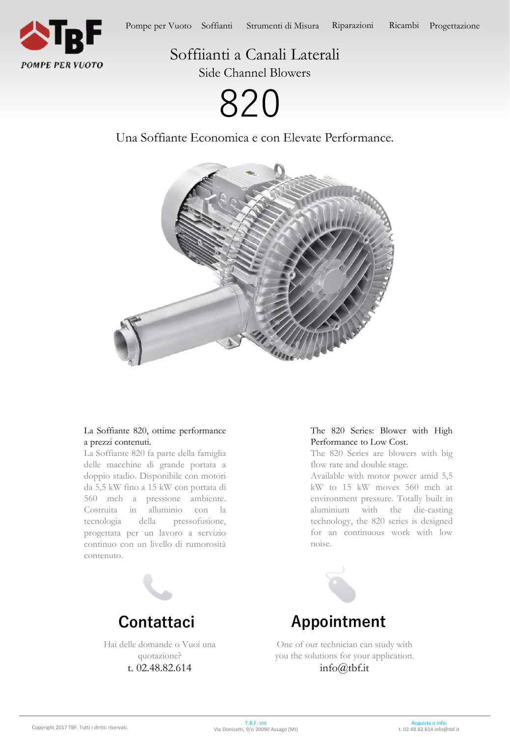

Soffiianti a Canali Laterali

Side Channel Blowers

820

Una Soffiante Economica e con Elevate Performance.



## La Soffiante 820, ottime performance a prezzi contenuti.

La Soffiante 820 fa parte della famiglia delle macchine di grande portata a doppio stadio. Disponibile con motori da 5,5 kW fino a 15 kW con portata di 560 mch a pressione ambiente. Costruita in alluminio con la tecnologia della pressofusione, progettata per un lavoro a servizio continuo con un livello di rumorosità contenuto.



Hai delle domande o Vuoi una quotazione? t. 02.48.82.614

# The 820 Series: Blower with High Performance to Low Cost.

The 820 Series are blowers with big flow rate and double stage.

Available with motor power amid 5,5 kW to 15 kW moves 560 mch at environment pressure. Totally built in aluminium with the die-casting technology, the 820 series is designed for an continuous work with low noise.



One of our technician can study with you the solutions for your application. info@tbf.it